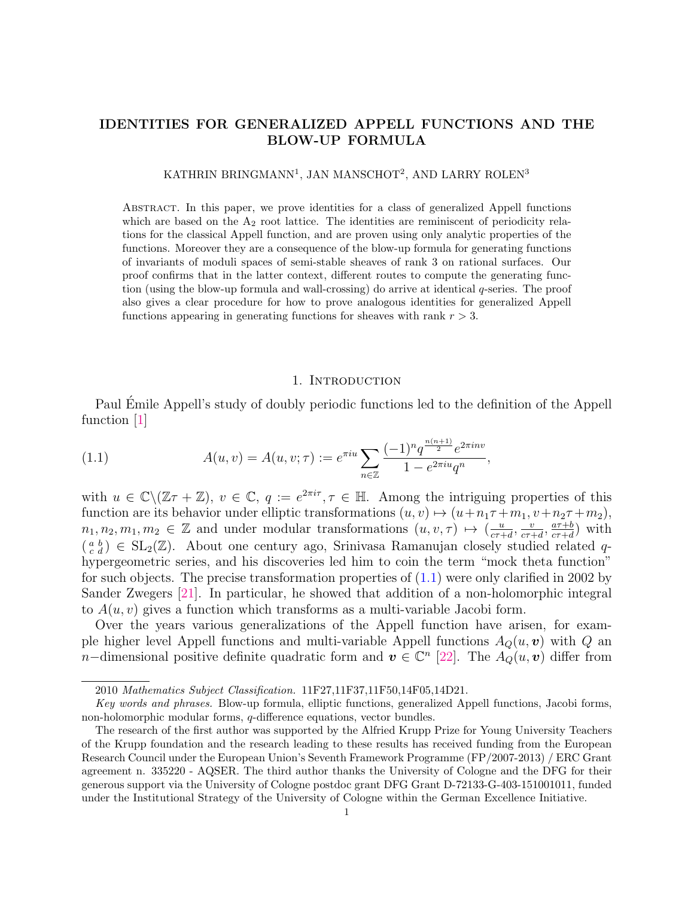# IDENTITIES FOR GENERALIZED APPELL FUNCTIONS AND THE BLOW-UP FORMULA

# KATHRIN BRINGMANN<sup>1</sup>, JAN MANSCHOT<sup>2</sup>, AND LARRY ROLEN<sup>3</sup>

Abstract. In this paper, we prove identities for a class of generalized Appell functions which are based on the  $A_2$  root lattice. The identities are reminiscent of periodicity relations for the classical Appell function, and are proven using only analytic properties of the functions. Moreover they are a consequence of the blow-up formula for generating functions of invariants of moduli spaces of semi-stable sheaves of rank 3 on rational surfaces. Our proof confirms that in the latter context, different routes to compute the generating function (using the blow-up formula and wall-crossing) do arrive at identical q-series. The proof also gives a clear procedure for how to prove analogous identities for generalized Appell functions appearing in generating functions for sheaves with rank  $r > 3$ .

#### <span id="page-0-0"></span>1. INTRODUCTION

Paul Emile Appell's study of doubly periodic functions led to the definition of the Appell function [\[1\]](#page-13-0)

(1.1) 
$$
A(u, v) = A(u, v; \tau) := e^{\pi i u} \sum_{n \in \mathbb{Z}} \frac{(-1)^n q^{\frac{n(n+1)}{2}} e^{2\pi i n v}}{1 - e^{2\pi i u} q^n},
$$

with  $u \in \mathbb{C} \setminus (\mathbb{Z} \tau + \mathbb{Z})$ ,  $v \in \mathbb{C}$ ,  $q := e^{2\pi i \tau}$ ,  $\tau \in \mathbb{H}$ . Among the intriguing properties of this function are its behavior under elliptic transformations  $(u, v) \mapsto (u + n_1\tau + m_1, v + n_2\tau + m_2)$ ,  $n_1, n_2, m_1, m_2 \in \mathbb{Z}$  and under modular transformations  $(u, v, \tau) \mapsto \left(\frac{u}{c\tau + 1}\right)$  $\frac{u}{c\tau+d}, \frac{v}{c\tau}$  $\frac{v}{c\tau+d}, \frac{a\tau+b}{c\tau+d}$  $\frac{a\tau+b}{c\tau+d}$  with  $(a<sub>c</sub><sup>a</sup>)$   $\in$  SL<sub>2</sub>(Z). About one century ago, Srinivasa Ramanujan closely studied related qhypergeometric series, and his discoveries led him to coin the term "mock theta function" for such objects. The precise transformation properties of  $(1.1)$  were only clarified in 2002 by Sander Zwegers [\[21\]](#page-14-0). In particular, he showed that addition of a non-holomorphic integral to  $A(u, v)$  gives a function which transforms as a multi-variable Jacobi form.

Over the years various generalizations of the Appell function have arisen, for example higher level Appell functions and multi-variable Appell functions  $A_Q(u, v)$  with Q an n–dimensional positive definite quadratic form and  $v \in \mathbb{C}^n$  [\[22\]](#page-14-1). The  $A_Q(u, v)$  differ from

<sup>2010</sup> Mathematics Subject Classification. 11F27,11F37,11F50,14F05,14D21.

Key words and phrases. Blow-up formula, elliptic functions, generalized Appell functions, Jacobi forms, non-holomorphic modular forms, q-difference equations, vector bundles.

The research of the first author was supported by the Alfried Krupp Prize for Young University Teachers of the Krupp foundation and the research leading to these results has received funding from the European Research Council under the European Union's Seventh Framework Programme (FP/2007-2013) / ERC Grant agreement n. 335220 - AQSER. The third author thanks the University of Cologne and the DFG for their generous support via the University of Cologne postdoc grant DFG Grant D-72133-G-403-151001011, funded under the Institutional Strategy of the University of Cologne within the German Excellence Initiative.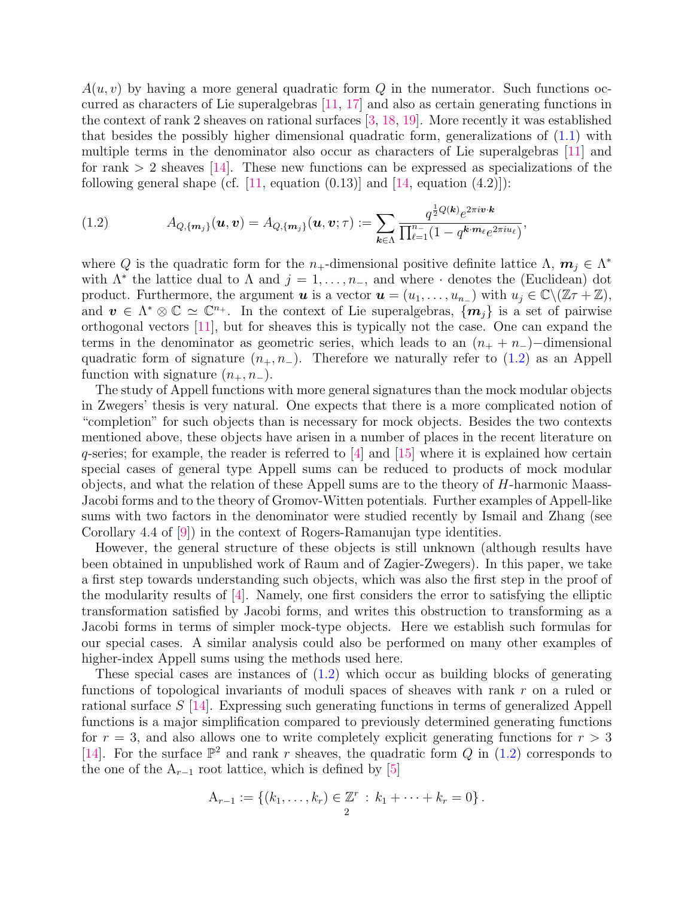$A(u, v)$  by having a more general quadratic form Q in the numerator. Such functions occurred as characters of Lie superalgebras [\[11,](#page-13-1) [17\]](#page-14-2) and also as certain generating functions in the context of rank 2 sheaves on rational surfaces [\[3,](#page-13-2) [18,](#page-14-3) [19\]](#page-14-4). More recently it was established that besides the possibly higher dimensional quadratic form, generalizations of [\(1.1\)](#page-0-0) with multiple terms in the denominator also occur as characters of Lie superalgebras [\[11\]](#page-13-1) and for rank  $> 2$  sheaves [\[14\]](#page-13-3). These new functions can be expressed as specializations of the following general shape (cf.  $[11, \text{ equation } (0.13)]$  $[11, \text{ equation } (0.13)]$  and  $[14, \text{ equation } (4.2)]$  $[14, \text{ equation } (4.2)]$ ):

<span id="page-1-0"></span>(1.2) 
$$
A_{Q,\{m_j\}}(\boldsymbol{u},\boldsymbol{v}) = A_{Q,\{m_j\}}(\boldsymbol{u},\boldsymbol{v};\tau) := \sum_{\boldsymbol{k}\in\Lambda} \frac{q^{\frac{1}{2}Q(\boldsymbol{k})}e^{2\pi i \boldsymbol{v}\cdot \boldsymbol{k}}}{\prod_{\ell=1}^{n_{-}}(1-q^{\boldsymbol{k}\cdot \boldsymbol{m}_{\ell}}e^{2\pi i u_{\ell}})},
$$

where Q is the quadratic form for the n<sub>+</sub>-dimensional positive definite lattice  $\Lambda$ ,  $m_j \in \Lambda^*$ with  $\Lambda^*$  the lattice dual to  $\Lambda$  and  $j = 1, \ldots, n_-,$  and where  $\cdot$  denotes the (Euclidean) dot product. Furthermore, the argument  $u$  is a vector  $u = (u_1, \ldots, u_{n-})$  with  $u_j \in \mathbb{C} \setminus (\mathbb{Z} + \mathbb{Z}),$ and  $v \in \Lambda^* \otimes \mathbb{C} \simeq \mathbb{C}^{n_+}$ . In the context of Lie superalgebras,  $\{m_j\}$  is a set of pairwise orthogonal vectors [\[11\]](#page-13-1), but for sheaves this is typically not the case. One can expand the terms in the denominator as geometric series, which leads to an  $(n_{+} + n_{-})$  –dimensional quadratic form of signature  $(n_+, n_-)$ . Therefore we naturally refer to [\(1.2\)](#page-1-0) as an Appell function with signature  $(n_+, n_-)$ .

The study of Appell functions with more general signatures than the mock modular objects in Zwegers' thesis is very natural. One expects that there is a more complicated notion of "completion" for such objects than is necessary for mock objects. Besides the two contexts mentioned above, these objects have arisen in a number of places in the recent literature on  $q$ -series; for example, the reader is referred to  $|4|$  and  $|15|$  where it is explained how certain special cases of general type Appell sums can be reduced to products of mock modular objects, and what the relation of these Appell sums are to the theory of H-harmonic Maass-Jacobi forms and to the theory of Gromov-Witten potentials. Further examples of Appell-like sums with two factors in the denominator were studied recently by Ismail and Zhang (see Corollary 4.4 of [\[9\]](#page-13-6)) in the context of Rogers-Ramanujan type identities.

However, the general structure of these objects is still unknown (although results have been obtained in unpublished work of Raum and of Zagier-Zwegers). In this paper, we take a first step towards understanding such objects, which was also the first step in the proof of the modularity results of [\[4\]](#page-13-4). Namely, one first considers the error to satisfying the elliptic transformation satisfied by Jacobi forms, and writes this obstruction to transforming as a Jacobi forms in terms of simpler mock-type objects. Here we establish such formulas for our special cases. A similar analysis could also be performed on many other examples of higher-index Appell sums using the methods used here.

These special cases are instances of  $(1.2)$  which occur as building blocks of generating functions of topological invariants of moduli spaces of sheaves with rank r on a ruled or rational surface S [\[14\]](#page-13-3). Expressing such generating functions in terms of generalized Appell functions is a major simplification compared to previously determined generating functions for  $r = 3$ , and also allows one to write completely explicit generating functions for  $r > 3$ [\[14\]](#page-13-3). For the surface  $\mathbb{P}^2$  and rank r sheaves, the quadratic form Q in [\(1.2\)](#page-1-0) corresponds to the one of the  $A_{r-1}$  root lattice, which is defined by [\[5\]](#page-13-7)

$$
A_{r-1} := \{ (k_1, \ldots, k_r) \in \mathbb{Z}^r : k_1 + \cdots + k_r = 0 \}.
$$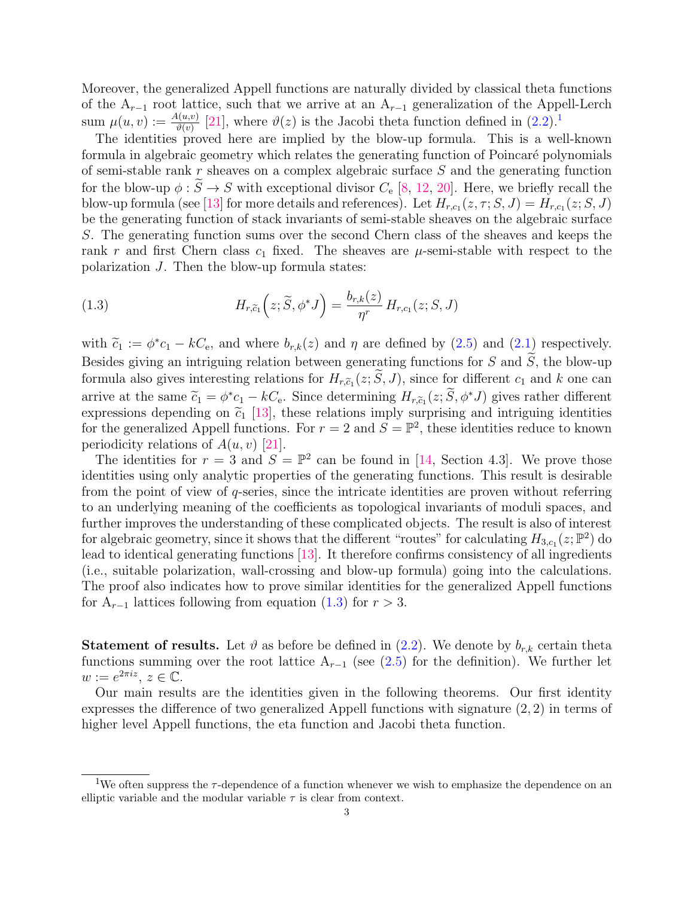Moreover, the generalized Appell functions are naturally divided by classical theta functions of the  $A_{r-1}$  root lattice, such that we arrive at an  $A_{r-1}$  generalization of the Appell-Lerch sum  $\mu(u, v) := \frac{A(u, v)}{\vartheta(v)}$  [\[21\]](#page-14-0), where  $\vartheta(z)$  is the Jacobi theta function defined in  $(2.2)$ .<sup>[1](#page-2-0)</sup>

The identities proved here are implied by the blow-up formula. This is a well-known formula in algebraic geometry which relates the generating function of Poincaré polynomials of semi-stable rank r sheaves on a complex algebraic surface S and the generating function for the blow-up  $\phi : \widetilde{S} \to S$  with exceptional divisor  $C_e$  [\[8,](#page-13-8) [12,](#page-13-9) [20\]](#page-14-5). Here, we briefly recall the blow-up formula (see [\[13\]](#page-13-10) for more details and references). Let  $H_{r,c_1}(z,\tau;S,J) = H_{r,c_1}(z;S,J)$ be the generating function of stack invariants of semi-stable sheaves on the algebraic surface S. The generating function sums over the second Chern class of the sheaves and keeps the rank r and first Chern class  $c_1$  fixed. The sheaves are  $\mu$ -semi-stable with respect to the polarization J. Then the blow-up formula states:

<span id="page-2-1"></span>(1.3) 
$$
H_{r,\widetilde{c}_1}\left(z;\widetilde{S},\phi^*J\right) = \frac{b_{r,k}(z)}{\eta^r}H_{r,c_1}(z;S,J)
$$

with  $\tilde{c}_1 := \phi^* c_1 - kC_e$ , and where  $b_{r,k}(z)$  and  $\eta$  are defined by [\(2.5\)](#page-4-1) and [\(2.1\)](#page-4-0) respectively. Besides giving an intriguing relation between generating functions for  $S$  and  $\tilde{S}$ , the blow-up formula also gives interesting relations for  $H_{r,\tilde{c}_1}(z; S, J)$ , since for different  $c_1$  and k one can arrive at the same  $\tilde{c}_1 = \phi^* c_1 - kC_e$ . Since determining  $H_{r,\tilde{c}_1}(z;\tilde{S},\phi^*J)$  gives rather different expressions depending on  $\tilde{c}_1$  [13], these relations imply surprising and intriguing identities expressions depending on  $\tilde{c}_1$  [\[13\]](#page-13-10), these relations imply surprising and intriguing identities for the generalized Appell functions. For  $r = 2$  and  $S = \mathbb{P}^2$ , these identities reduce to known periodicity relations of  $A(u, v)$  [\[21\]](#page-14-0).

The identities for  $r = 3$  and  $S = \mathbb{P}^2$  can be found in [\[14,](#page-13-3) Section 4.3]. We prove those identities using only analytic properties of the generating functions. This result is desirable from the point of view of  $q$ -series, since the intricate identities are proven without referring to an underlying meaning of the coefficients as topological invariants of moduli spaces, and further improves the understanding of these complicated objects. The result is also of interest for algebraic geometry, since it shows that the different "routes" for calculating  $H_{3,c_1}(z; \mathbb{P}^2)$  do lead to identical generating functions [\[13\]](#page-13-10). It therefore confirms consistency of all ingredients (i.e., suitable polarization, wall-crossing and blow-up formula) going into the calculations. The proof also indicates how to prove similar identities for the generalized Appell functions for  $A_{r-1}$  lattices following from equation [\(1.3\)](#page-2-1) for  $r > 3$ .

**Statement of results.** Let  $\vartheta$  as before be defined in  $(2.2)$ . We denote by  $b_{r,k}$  certain theta functions summing over the root lattice  $A_{r-1}$  (see [\(2.5\)](#page-4-1) for the definition). We further let  $w := e^{2\pi i z}, z \in \mathbb{C}.$ 

Our main results are the identities given in the following theorems. Our first identity expresses the difference of two generalized Appell functions with signature (2, 2) in terms of higher level Appell functions, the eta function and Jacobi theta function.

<span id="page-2-0"></span><sup>&</sup>lt;sup>1</sup>We often suppress the  $\tau$ -dependence of a function whenever we wish to emphasize the dependence on an elliptic variable and the modular variable  $\tau$  is clear from context.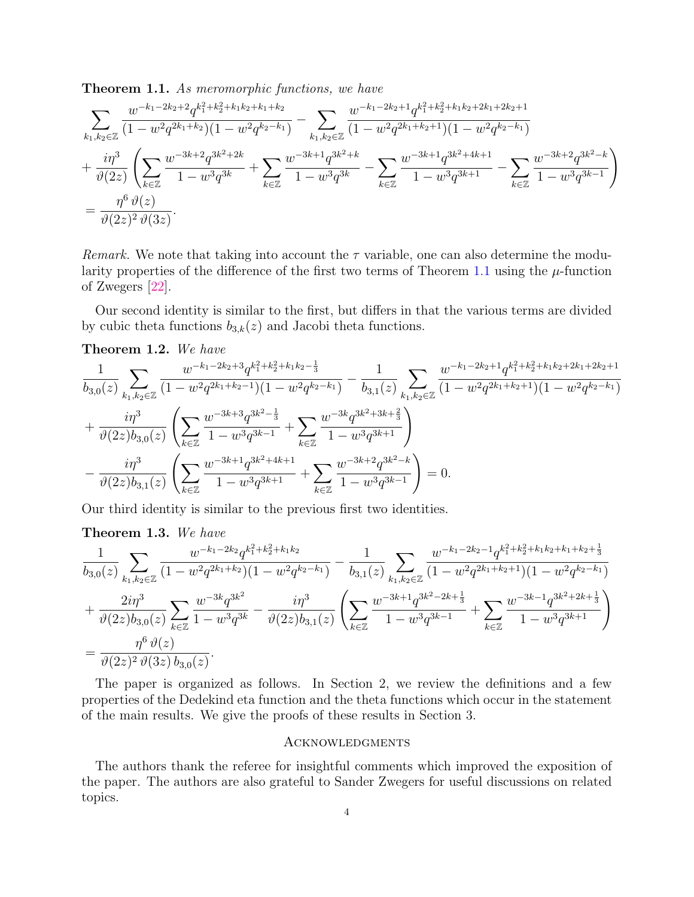<span id="page-3-0"></span>Theorem 1.1. As meromorphic functions, we have

$$
\begin{split} & \sum_{k_1, k_2 \in \mathbb{Z}} \frac{w^{-k_1-2k_2+2} q^{k_1^2+k_2^2+k_1k_2+k_1+k_2}}{(1-w^2 q^{2k_1+k_2})(1-w^2 q^{k_2-k_1})} - \sum_{k_1, k_2 \in \mathbb{Z}} \frac{w^{-k_1-2k_2+1} q^{k_1^2+k_2^2+k_1k_2+2k_1+2k_2+1}}{(1-w^2 q^{2k_1+k_2+1})(1-w^2 q^{k_2-k_1})} \\ & + \frac{i \eta^3}{\vartheta(2z)} \left( \sum_{k \in \mathbb{Z}} \frac{w^{-3k+2} q^{3k^2+2k}}{1-w^3 q^{3k}} + \sum_{k \in \mathbb{Z}} \frac{w^{-3k+1} q^{3k^2+k}}{1-w^3 q^{3k}} - \sum_{k \in \mathbb{Z}} \frac{w^{-3k+1} q^{3k^2+4k+1}}{1-w^3 q^{3k+1}} - \sum_{k \in \mathbb{Z}} \frac{w^{-3k+2} q^{3k^2-k}}{1-w^3 q^{3k-1}} \right) \\ & = \frac{\eta^6 \vartheta(z)}{\vartheta(2z)^2 \vartheta(3z)} . \end{split}
$$

Remark. We note that taking into account the  $\tau$  variable, one can also determine the modu-larity properties of the difference of the first two terms of Theorem [1.1](#page-3-0) using the  $\mu$ -function of Zwegers [\[22\]](#page-14-1).

Our second identity is similar to the first, but differs in that the various terms are divided by cubic theta functions  $b_{3,k}(z)$  and Jacobi theta functions.

<span id="page-3-1"></span>Theorem 1.2. We have

$$
\frac{1}{b_{3,0}(z)}\sum_{k_1,k_2\in\mathbb{Z}}\frac{w^{-k_1-2k_2+3}q^{k_1^2+k_2^2+k_1k_2-\frac{1}{3}}}{(1-w^2q^{2k_1+k_2-1})(1-w^2q^{k_2-k_1})}-\frac{1}{b_{3,1}(z)}\sum_{k_1,k_2\in\mathbb{Z}}\frac{w^{-k_1-2k_2+1}q^{k_1^2+k_2^2+k_1k_2+2k_1+2k_2+1}}{(1-w^2q^{2k_1+k_2+1})(1-w^2q^{k_2-k_1})}+\\\frac{i\eta^3}{\vartheta(2z)b_{3,0}(z)}\left(\sum_{k\in\mathbb{Z}}\frac{w^{-3k+3}q^{3k^2-\frac{1}{3}}}{1-w^3q^{3k-1}}+\sum_{k\in\mathbb{Z}}\frac{w^{-3k}q^{3k^2+3k+\frac{2}{3}}}{1-w^3q^{3k+1}}\right)\\-\frac{i\eta^3}{\vartheta(2z)b_{3,1}(z)}\left(\sum_{k\in\mathbb{Z}}\frac{w^{-3k+1}q^{3k^2+4k+1}}{1-w^3q^{3k+1}}+\sum_{k\in\mathbb{Z}}\frac{w^{-3k+2}q^{3k^2-k}}{1-w^3q^{3k-1}}\right)=0.
$$

Our third identity is similar to the previous first two identities.

# <span id="page-3-2"></span>Theorem 1.3. We have

$$
\frac{1}{b_{3,0}(z)}\sum_{k_1,k_2\in\mathbb{Z}}\frac{w^{-k_1-2k_2}q^{k_1^2+k_2^2+k_1k_2}}{(1-w^2q^{2k_1+k_2})(1-w^2q^{k_2-k_1})} - \frac{1}{b_{3,1}(z)}\sum_{k_1,k_2\in\mathbb{Z}}\frac{w^{-k_1-2k_2-1}q^{k_1^2+k_2^2+k_1k_2+k_1+k_2+\frac{1}{3}}}{(1-w^2q^{2k_1+k_2+1})(1-w^2q^{k_2-k_1})} + \frac{2i\eta^3}{\vartheta(2z)b_{3,0}(z)}\sum_{k\in\mathbb{Z}}\frac{w^{-3k}q^{3k^2}}{1-w^3q^{3k}} - \frac{i\eta^3}{\vartheta(2z)b_{3,1}(z)}\left(\sum_{k\in\mathbb{Z}}\frac{w^{-3k+1}q^{3k^2-2k+\frac{1}{3}}}{1-w^3q^{3k-1}} + \sum_{k\in\mathbb{Z}}\frac{w^{-3k-1}q^{3k^2+2k+\frac{1}{3}}}{1-w^3q^{3k+1}}\right)
$$
\n
$$
= \frac{\eta^6\,\vartheta(z)}{\vartheta(2z)^2\,\vartheta(3z)\,b_{3,0}(z)}.
$$

The paper is organized as follows. In Section 2, we review the definitions and a few properties of the Dedekind eta function and the theta functions which occur in the statement of the main results. We give the proofs of these results in Section 3.

#### **ACKNOWLEDGMENTS**

The authors thank the referee for insightful comments which improved the exposition of the paper. The authors are also grateful to Sander Zwegers for useful discussions on related topics.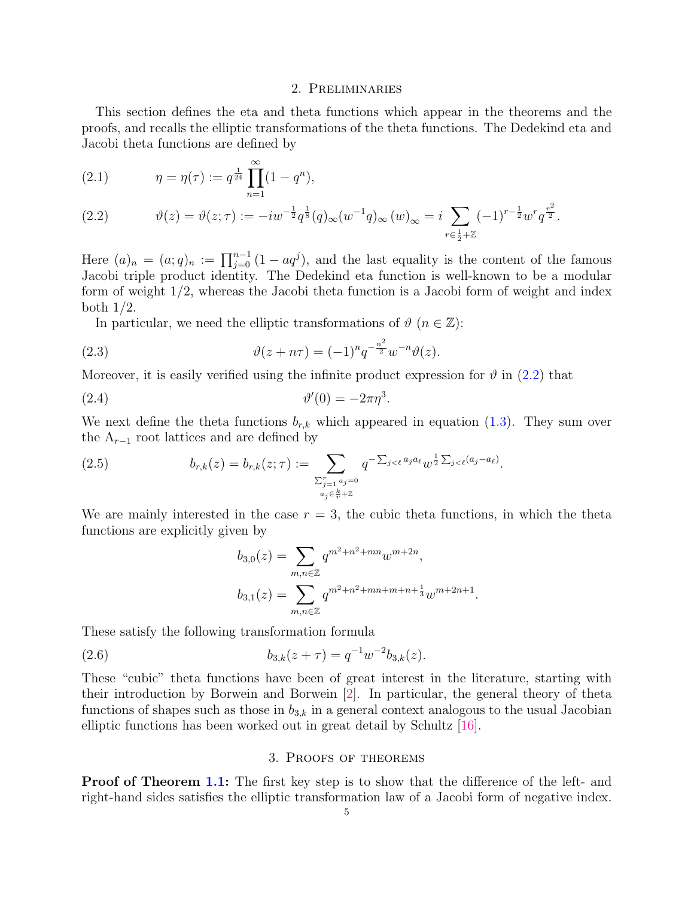#### 2. Preliminaries

This section defines the eta and theta functions which appear in the theorems and the proofs, and recalls the elliptic transformations of the theta functions. The Dedekind eta and Jacobi theta functions are defined by

<span id="page-4-0"></span>(2.1) 
$$
\eta = \eta(\tau) := q^{\frac{1}{24}} \prod_{n=1}^{\infty} (1 - q^n),
$$

(2.2) 
$$
\vartheta(z) = \vartheta(z;\tau) := -iw^{-\frac{1}{2}}q^{\frac{1}{8}}(q)_{\infty}(w^{-1}q)_{\infty}(w)_{\infty} = i \sum_{r \in \frac{1}{2} + \mathbb{Z}} (-1)^{r - \frac{1}{2}} w^r q^{\frac{r^2}{2}}.
$$

Here  $(a)_n = (a;q)_n := \prod_{j=0}^{n-1} (1 - aq^j)$ , and the last equality is the content of the famous Jacobi triple product identity. The Dedekind eta function is well-known to be a modular form of weight 1/2, whereas the Jacobi theta function is a Jacobi form of weight and index both 1/2.

<span id="page-4-2"></span>In particular, we need the elliptic transformations of  $\vartheta$  ( $n \in \mathbb{Z}$ ):

(2.3) 
$$
\vartheta(z + n\tau) = (-1)^n q^{-\frac{n^2}{2}} w^{-n} \vartheta(z).
$$

Moreover, it is easily verified using the infinite product expression for  $\vartheta$  in [\(2.2\)](#page-4-0) that

$$
\vartheta'(0) = -2\pi\eta^3.
$$

We next define the theta functions  $b_{r,k}$  which appeared in equation [\(1.3\)](#page-2-1). They sum over the  $A_{r-1}$  root lattices and are defined by

(2.5) 
$$
b_{r,k}(z) = b_{r,k}(z; \tau) := \sum_{\substack{\sum_{j=1}^r a_j = 0 \\ a_j \in \frac{k}{r} + \mathbb{Z}}} q^{-\sum_{j < \ell} a_j a_\ell} w^{\frac{1}{2} \sum_{j < \ell} (a_j - a_\ell)}.
$$

We are mainly interested in the case  $r = 3$ , the cubic theta functions, in which the theta functions are explicitly given by

<span id="page-4-4"></span><span id="page-4-3"></span><span id="page-4-1"></span>
$$
b_{3,0}(z) = \sum_{m,n \in \mathbb{Z}} q^{m^2 + n^2 + mn} w^{m+2n},
$$
  

$$
b_{3,1}(z) = \sum_{m,n \in \mathbb{Z}} q^{m^2 + n^2 + mn + m + n + \frac{1}{3}} w^{m+2n+1}.
$$

These satisfy the following transformation formula

(2.6) 
$$
b_{3,k}(z+\tau) = q^{-1}w^{-2}b_{3,k}(z).
$$

These "cubic" theta functions have been of great interest in the literature, starting with their introduction by Borwein and Borwein [\[2\]](#page-13-11). In particular, the general theory of theta functions of shapes such as those in  $b_{3,k}$  in a general context analogous to the usual Jacobian elliptic functions has been worked out in great detail by Schultz [\[16\]](#page-13-12).

## 3. Proofs of theorems

**Proof of Theorem [1.1:](#page-3-0)** The first key step is to show that the difference of the left- and right-hand sides satisfies the elliptic transformation law of a Jacobi form of negative index.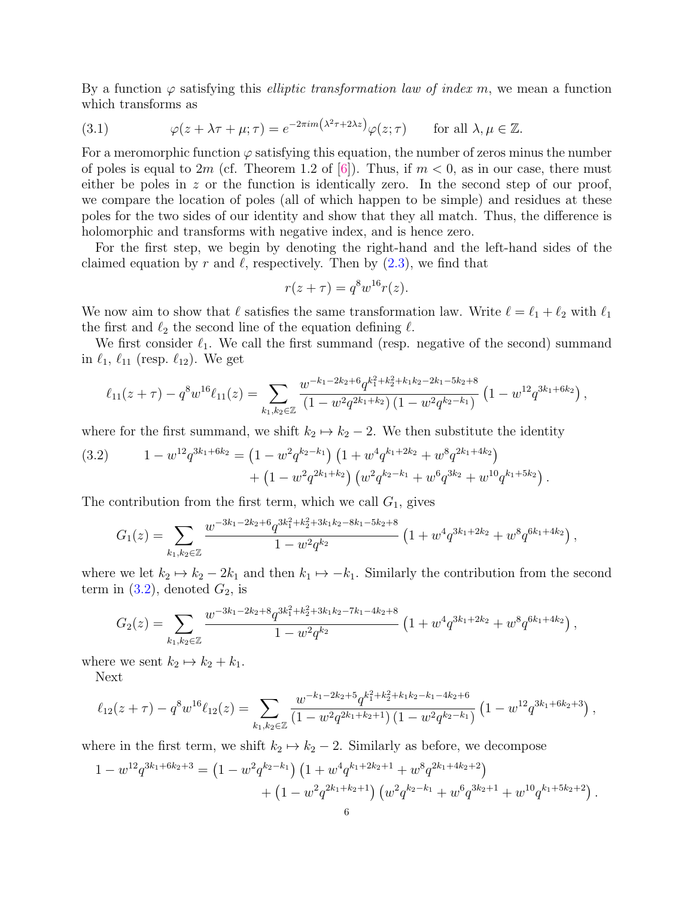By a function  $\varphi$  satisfying this *elliptic transformation law of index m*, we mean a function which transforms as

<span id="page-5-1"></span>(3.1) 
$$
\varphi(z + \lambda \tau + \mu; \tau) = e^{-2\pi i m \left(\lambda^2 \tau + 2\lambda z\right)} \varphi(z; \tau) \quad \text{for all } \lambda, \mu \in \mathbb{Z}.
$$

For a meromorphic function  $\varphi$  satisfying this equation, the number of zeros minus the number of poles is equal to 2m (cf. Theorem 1.2 of [\[6\]](#page-13-13)). Thus, if  $m < 0$ , as in our case, there must either be poles in  $z$  or the function is identically zero. In the second step of our proof, we compare the location of poles (all of which happen to be simple) and residues at these poles for the two sides of our identity and show that they all match. Thus, the difference is holomorphic and transforms with negative index, and is hence zero.

For the first step, we begin by denoting the right-hand and the left-hand sides of the claimed equation by r and  $\ell$ , respectively. Then by  $(2.3)$ , we find that

$$
r(z+\tau) = q^8 w^{16} r(z).
$$

We now aim to show that  $\ell$  satisfies the same transformation law. Write  $\ell = \ell_1 + \ell_2$  with  $\ell_1$ the first and  $\ell_2$  the second line of the equation defining  $\ell$ .

We first consider  $\ell_1$ . We call the first summand (resp. negative of the second) summand in  $\ell_1, \ell_{11}$  (resp.  $\ell_{12}$ ). We get

$$
\ell_{11}(z+\tau) - q^8 w^{16} \ell_{11}(z) = \sum_{k_1,k_2 \in \mathbb{Z}} \frac{w^{-k_1 - 2k_2 + 6} q^{k_1^2 + k_2^2 + k_1 k_2 - 2k_1 - 5k_2 + 8}}{\left(1 - w^2 q^{2k_1 + k_2}\right) \left(1 - w^2 q^{k_2 - k_1}\right)} \left(1 - w^{12} q^{3k_1 + 6k_2}\right),
$$

where for the first summand, we shift  $k_2 \mapsto k_2 - 2$ . We then substitute the identity

<span id="page-5-0"></span>(3.2) 
$$
1 - w^{12} q^{3k_1 + 6k_2} = (1 - w^2 q^{k_2 - k_1}) (1 + w^4 q^{k_1 + 2k_2} + w^8 q^{2k_1 + 4k_2}) + (1 - w^2 q^{2k_1 + k_2}) (w^2 q^{k_2 - k_1} + w^6 q^{3k_2} + w^{10} q^{k_1 + 5k_2}).
$$

The contribution from the first term, which we call  $G_1$ , gives

$$
G_1(z) = \sum_{k_1,k_2 \in \mathbb{Z}} \frac{w^{-3k_1 - 2k_2 + 6} q^{3k_1^2 + k_2^2 + 3k_1k_2 - 8k_1 - 5k_2 + 8}}{1 - w^2 q^{k_2}} \left(1 + w^4 q^{3k_1 + 2k_2} + w^8 q^{6k_1 + 4k_2}\right),
$$

where we let  $k_2 \mapsto k_2 - 2k_1$  and then  $k_1 \mapsto -k_1$ . Similarly the contribution from the second term in  $(3.2)$ , denoted  $G_2$ , is

$$
G_2(z) = \sum_{k_1,k_2 \in \mathbb{Z}} \frac{w^{-3k_1 - 2k_2 + 8} q^{3k_1^2 + k_2^2 + 3k_1k_2 - 7k_1 - 4k_2 + 8}}{1 - w^2 q^{k_2}} \left(1 + w^4 q^{3k_1 + 2k_2} + w^8 q^{6k_1 + 4k_2}\right),
$$

where we sent  $k_2 \mapsto k_2 + k_1$ .

Next

$$
\ell_{12}(z+\tau) - q^8 w^{16} \ell_{12}(z) = \sum_{k_1,k_2 \in \mathbb{Z}} \frac{w^{-k_1 - 2k_2 + 5} q^{k_1^2 + k_2^2 + k_1 k_2 - k_1 - 4k_2 + 6}}{\left(1 - w^2 q^{2k_1 + k_2 + 1}\right) \left(1 - w^2 q^{k_2 - k_1}\right)} \left(1 - w^{12} q^{3k_1 + 6k_2 + 3}\right),
$$

where in the first term, we shift  $k_2 \mapsto k_2 - 2$ . Similarly as before, we decompose

$$
1 - w^{12} q^{3k_1 + 6k_2 + 3} = \left(1 - w^2 q^{k_2 - k_1}\right) \left(1 + w^4 q^{k_1 + 2k_2 + 1} + w^8 q^{2k_1 + 4k_2 + 2}\right) + \left(1 - w^2 q^{2k_1 + k_2 + 1}\right) \left(w^2 q^{k_2 - k_1} + w^6 q^{3k_2 + 1} + w^{10} q^{k_1 + 5k_2 + 2}\right).
$$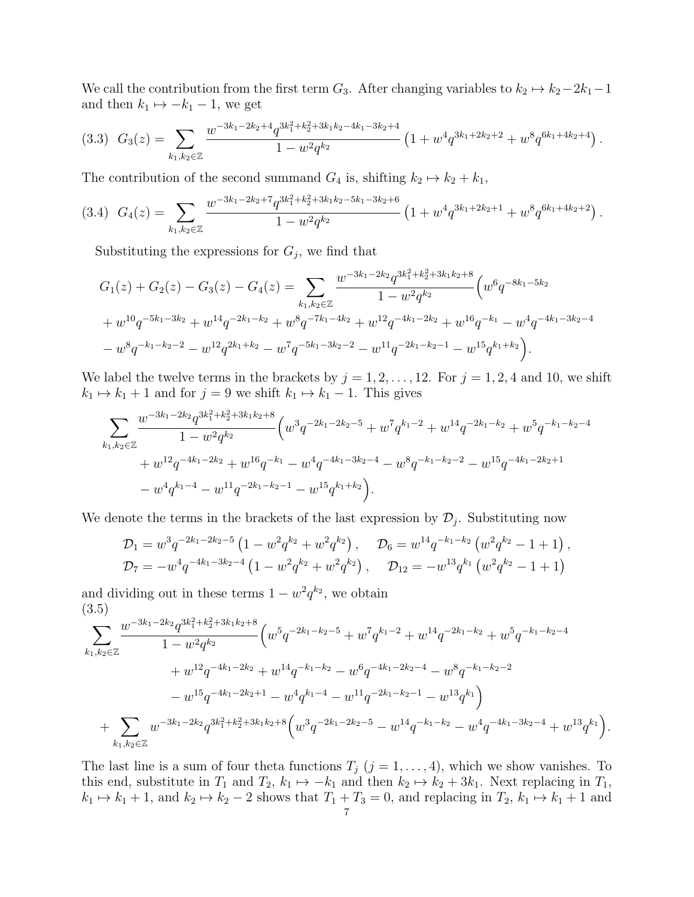We call the contribution from the first term  $G_3$ . After changing variables to  $k_2 \mapsto k_2-2k_1-1$ and then  $k_1 \mapsto -k_1 - 1$ , we get

<span id="page-6-1"></span>
$$
(3.3) \quad G_3(z) = \sum_{k_1,k_2 \in \mathbb{Z}} \frac{w^{-3k_1 - 2k_2 + 4} q^{3k_1^2 + k_2^2 + 3k_1k_2 - 4k_1 - 3k_2 + 4}}{1 - w^2 q^{k_2}} \left(1 + w^4 q^{3k_1 + 2k_2 + 2} + w^8 q^{6k_1 + 4k_2 + 4}\right).
$$

The contribution of the second summand  $G_4$  is, shifting  $k_2 \mapsto k_2 + k_1$ ,

<span id="page-6-2"></span>
$$
(3.4) \quad G_4(z) = \sum_{k_1,k_2 \in \mathbb{Z}} \frac{w^{-3k_1 - 2k_2 + 7} q^{3k_1^2 + k_2^2 + 3k_1k_2 - 5k_1 - 3k_2 + 6}}{1 - w^2 q^{k_2}} \left(1 + w^4 q^{3k_1 + 2k_2 + 1} + w^8 q^{6k_1 + 4k_2 + 2}\right).
$$

Substituting the expressions for  $G_j$ , we find that

$$
G_1(z) + G_2(z) - G_3(z) - G_4(z) = \sum_{k_1, k_2 \in \mathbb{Z}} \frac{w^{-3k_1 - 2k_2} q^{3k_1^2 + k_2^2 + 3k_1k_2 + 8}}{1 - w^2 q^{k_2}} \left( w^6 q^{-8k_1 - 5k_2} + w^{10} q^{-5k_1 - 3k_2} + w^{14} q^{-2k_1 - k_2} + w^8 q^{-7k_1 - 4k_2} + w^{12} q^{-4k_1 - 2k_2} + w^{16} q^{-k_1} - w^4 q^{-4k_1 - 3k_2 - 4} - w^8 q^{-k_1 - k_2 - 2} - w^{12} q^{2k_1 + k_2} - w^7 q^{-5k_1 - 3k_2 - 2} - w^{11} q^{-2k_1 - k_2 - 1} - w^{15} q^{k_1 + k_2} \right).
$$

We label the twelve terms in the brackets by  $j = 1, 2, \ldots, 12$ . For  $j = 1, 2, 4$  and 10, we shift  $k_1 \mapsto k_1 + 1$  and for  $j = 9$  we shift  $k_1 \mapsto k_1 - 1$ . This gives

$$
\sum_{k_1,k_2 \in \mathbb{Z}} \frac{w^{-3k_1 - 2k_2} q^{3k_1^2 + k_2^2 + 3k_1k_2 + 8}}{1 - w^2 q^{k_2}} \left( w^3 q^{-2k_1 - 2k_2 - 5} + w^7 q^{k_1 - 2} + w^{14} q^{-2k_1 - k_2} + w^5 q^{-k_1 - k_2 - 4} \right. \\
\left. + w^{12} q^{-4k_1 - 2k_2} + w^{16} q^{-k_1} - w^4 q^{-4k_1 - 3k_2 - 4} - w^8 q^{-k_1 - k_2 - 2} - w^{15} q^{-4k_1 - 2k_2 + 1} \right. \\
\left. - w^4 q^{k_1 - 4} - w^{11} q^{-2k_1 - k_2 - 1} - w^{15} q^{k_1 + k_2} \right).
$$

We denote the terms in the brackets of the last expression by  $\mathcal{D}_j$ . Substituting now

$$
\mathcal{D}_1 = w^3 q^{-2k_1 - 2k_2 - 5} \left( 1 - w^2 q^{k_2} + w^2 q^{k_2} \right), \quad \mathcal{D}_6 = w^{14} q^{-k_1 - k_2} \left( w^2 q^{k_2} - 1 + 1 \right),
$$
  

$$
\mathcal{D}_7 = -w^4 q^{-4k_1 - 3k_2 - 4} \left( 1 - w^2 q^{k_2} + w^2 q^{k_2} \right), \quad \mathcal{D}_{12} = -w^{13} q^{k_1} \left( w^2 q^{k_2} - 1 + 1 \right)
$$

and dividing out in these terms  $1 - w^2 q^{k_2}$ , we obtain (3.5)

<span id="page-6-0"></span>
$$
\sum_{k_1,k_2 \in \mathbb{Z}} \frac{w^{-3k_1 - 2k_2} q^{3k_1^2 + k_2^2 + 3k_1k_2 + 8}}{1 - w^2 q^{k_2}} \left( w^5 q^{-2k_1 - k_2 - 5} + w^7 q^{k_1 - 2} + w^{14} q^{-2k_1 - k_2} + w^5 q^{-k_1 - k_2 - 4} \right. \\ \left. + w^{12} q^{-4k_1 - 2k_2} + w^{14} q^{-k_1 - k_2} - w^6 q^{-4k_1 - 2k_2 - 4} - w^8 q^{-k_1 - k_2 - 2} \right. \\ \left. - w^{15} q^{-4k_1 - 2k_2 + 1} - w^4 q^{k_1 - 4} - w^{11} q^{-2k_1 - k_2 - 1} - w^{13} q^{k_1} \right) \\ \left. + \sum_{k_1,k_2 \in \mathbb{Z}} w^{-3k_1 - 2k_2} q^{3k_1^2 + k_2^2 + 3k_1k_2 + 8} \left( w^3 q^{-2k_1 - 2k_2 - 5} - w^{14} q^{-k_1 - k_2} - w^4 q^{-4k_1 - 3k_2 - 4} + w^{13} q^{k_1} \right) \right)
$$

.

The last line is a sum of four theta functions  $T_j$   $(j = 1, ..., 4)$ , which we show vanishes. To this end, substitute in  $T_1$  and  $T_2$ ,  $k_1 \mapsto -k_1$  and then  $k_2 \mapsto k_2 + 3k_1$ . Next replacing in  $T_1$ ,  $k_1 \mapsto k_1 + 1$ , and  $k_2 \mapsto k_2 - 2$  shows that  $T_1 + T_3 = 0$ , and replacing in  $T_2$ ,  $k_1 \mapsto k_1 + 1$  and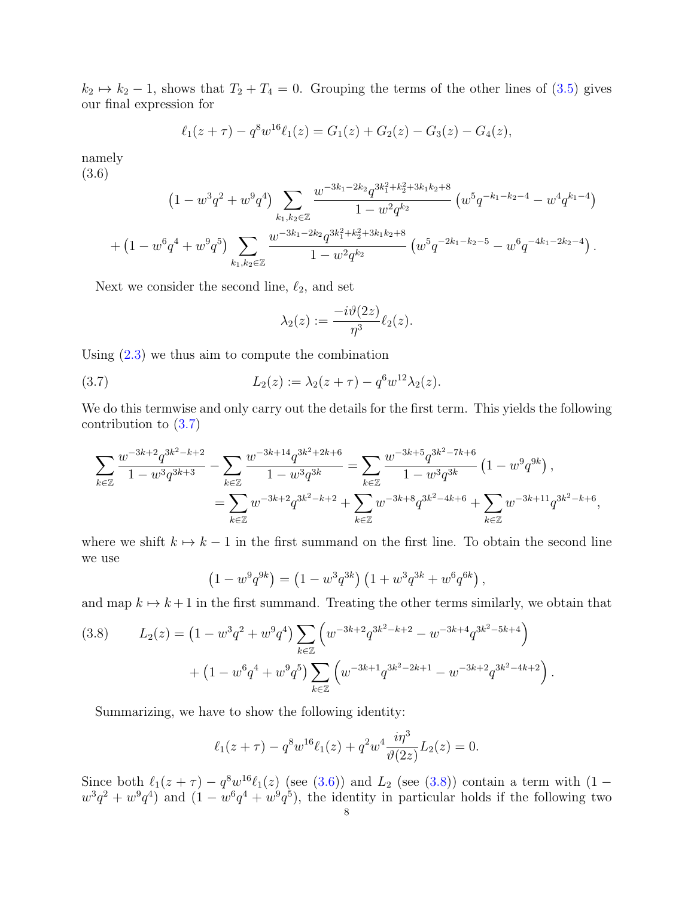$k_2 \mapsto k_2 - 1$ , shows that  $T_2 + T_4 = 0$ . Grouping the terms of the other lines of [\(3.5\)](#page-6-0) gives our final expression for

$$
\ell_1(z+\tau) - q^8 w^{16} \ell_1(z) = G_1(z) + G_2(z) - G_3(z) - G_4(z),
$$

namely (3.6)

<span id="page-7-1"></span>
$$
(1 - w^3 q^2 + w^9 q^4) \sum_{k_1, k_2 \in \mathbb{Z}} \frac{w^{-3k_1 - 2k_2} q^{3k_1^2 + k_2^2 + 3k_1k_2 + 8}}{1 - w^2 q^{k_2}} (w^5 q^{-k_1 - k_2 - 4} - w^4 q^{k_1 - 4})
$$
  
+ 
$$
(1 - w^6 q^4 + w^9 q^5) \sum_{k_1, k_2 \in \mathbb{Z}} \frac{w^{-3k_1 - 2k_2} q^{3k_1^2 + k_2^2 + 3k_1k_2 + 8}}{1 - w^2 q^{k_2}} (w^5 q^{-2k_1 - k_2 - 5} - w^6 q^{-4k_1 - 2k_2 - 4}).
$$

Next we consider the second line,  $\ell_2$ , and set

<span id="page-7-0"></span>
$$
\lambda_2(z):=\frac{-i\vartheta(2z)}{\eta^3}\ell_2(z).
$$

Using [\(2.3\)](#page-4-2) we thus aim to compute the combination

(3.7) 
$$
L_2(z) := \lambda_2(z + \tau) - q^6 w^{12} \lambda_2(z).
$$

We do this termwise and only carry out the details for the first term. This yields the following contribution to [\(3.7\)](#page-7-0)

$$
\sum_{k \in \mathbb{Z}} \frac{w^{-3k+2} q^{3k^2 - k + 2}}{1 - w^3 q^{3k+3}} - \sum_{k \in \mathbb{Z}} \frac{w^{-3k+14} q^{3k^2 + 2k + 6}}{1 - w^3 q^{3k}} = \sum_{k \in \mathbb{Z}} \frac{w^{-3k+5} q^{3k^2 - 7k + 6}}{1 - w^3 q^{3k}} \left(1 - w^9 q^{9k}\right),
$$
  
= 
$$
\sum_{k \in \mathbb{Z}} w^{-3k+2} q^{3k^2 - k + 2} + \sum_{k \in \mathbb{Z}} w^{-3k+8} q^{3k^2 - 4k + 6} + \sum_{k \in \mathbb{Z}} w^{-3k+11} q^{3k^2 - k + 6},
$$

where we shift  $k \mapsto k - 1$  in the first summand on the first line. To obtain the second line we use

$$
(1 - w9q9k) = (1 - w3q3k) (1 + w3q3k + w6q6k),
$$

and map  $k \mapsto k + 1$  in the first summand. Treating the other terms similarly, we obtain that

<span id="page-7-2"></span>(3.8) 
$$
L_2(z) = (1 - w^3 q^2 + w^9 q^4) \sum_{k \in \mathbb{Z}} \left( w^{-3k+2} q^{3k^2 - k + 2} - w^{-3k+4} q^{3k^2 - 5k + 4} \right) + (1 - w^6 q^4 + w^9 q^5) \sum_{k \in \mathbb{Z}} \left( w^{-3k+1} q^{3k^2 - 2k + 1} - w^{-3k+2} q^{3k^2 - 4k + 2} \right).
$$

Summarizing, we have to show the following identity:

$$
\ell_1(z+\tau) - q^8 w^{16} \ell_1(z) + q^2 w^4 \frac{i\eta^3}{\vartheta(2z)} L_2(z) = 0.
$$

Since both  $\ell_1(z + \tau) - q^8 w^{16} \ell_1(z)$  (see [\(3.6\)](#page-7-1)) and  $L_2$  (see [\(3.8\)](#page-7-2)) contain a term with (1 –  $w^3q^2 + w^9q^4$  and  $(1 - w^6q^4 + w^9q^5)$ , the identity in particular holds if the following two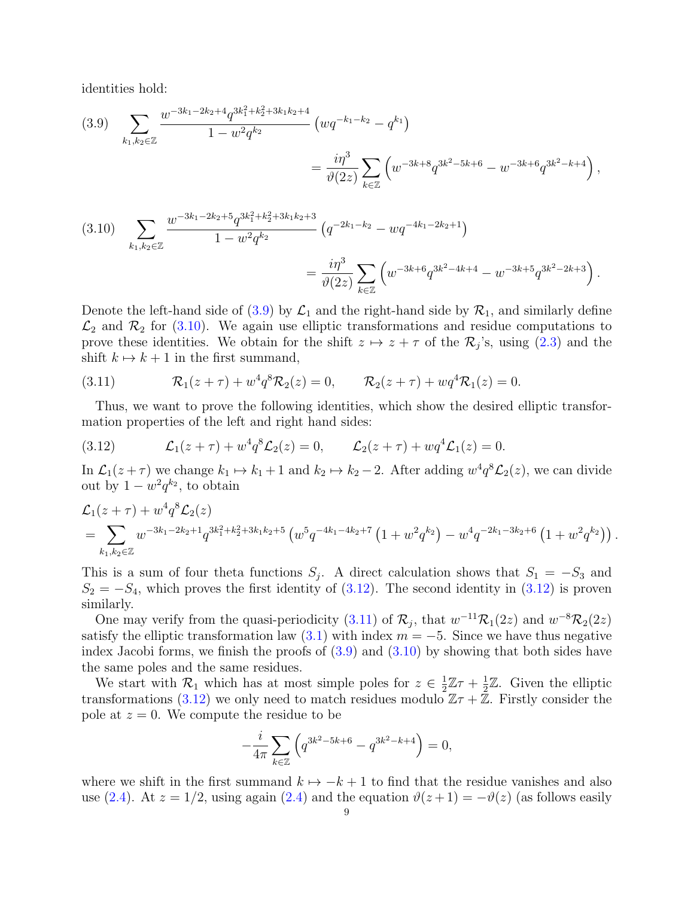identities hold:

<span id="page-8-0"></span>
$$
(3.9) \sum_{k_1,k_2 \in \mathbb{Z}} \frac{w^{-3k_1 - 2k_2 + 4} q^{3k_1^2 + k_2^2 + 3k_1k_2 + 4}}{1 - w^2 q^{k_2}} \left( w q^{-k_1 - k_2} - q^{k_1} \right)
$$
  

$$
= \frac{i\eta^3}{\vartheta(2z)} \sum_{k \in \mathbb{Z}} \left( w^{-3k + 8} q^{3k^2 - 5k + 6} - w^{-3k + 6} q^{3k^2 - k + 4} \right),
$$

<span id="page-8-1"></span>
$$
(3.10) \sum_{k_1,k_2 \in \mathbb{Z}} \frac{w^{-3k_1 - 2k_2 + 5} q^{3k_1^2 + k_2^2 + 3k_1k_2 + 3}}{1 - w^2 q^{k_2}} \left( q^{-2k_1 - k_2} - w q^{-4k_1 - 2k_2 + 1} \right)
$$
  

$$
= \frac{i \eta^3}{\vartheta(2z)} \sum_{k \in \mathbb{Z}} \left( w^{-3k + 6} q^{3k^2 - 4k + 4} - w^{-3k + 5} q^{3k^2 - 2k + 3} \right).
$$

Denote the left-hand side of [\(3.9\)](#page-8-0) by  $\mathcal{L}_1$  and the right-hand side by  $\mathcal{R}_1$ , and similarly define  $\mathcal{L}_2$  and  $\mathcal{R}_2$  for [\(3.10\)](#page-8-1). We again use elliptic transformations and residue computations to prove these identities. We obtain for the shift  $z \mapsto z + \tau$  of the  $\mathcal{R}_j$ 's, using [\(2.3\)](#page-4-2) and the shift  $k \mapsto k + 1$  in the first summand,

<span id="page-8-3"></span>(3.11) 
$$
\mathcal{R}_1(z+\tau) + w^4 q^8 \mathcal{R}_2(z) = 0, \qquad \mathcal{R}_2(z+\tau) + w q^4 \mathcal{R}_1(z) = 0.
$$

Thus, we want to prove the following identities, which show the desired elliptic transformation properties of the left and right hand sides:

<span id="page-8-2"></span>(3.12) 
$$
\mathcal{L}_1(z+\tau) + w^4 q^8 \mathcal{L}_2(z) = 0, \qquad \mathcal{L}_2(z+\tau) + wq^4 \mathcal{L}_1(z) = 0.
$$

−

In  $\mathcal{L}_1(z+\tau)$  we change  $k_1 \mapsto k_1 + 1$  and  $k_2 \mapsto k_2 - 2$ . After adding  $w^4 q^8 \mathcal{L}_2(z)$ , we can divide out by  $1 - w^2 q^{k_2}$ , to obtain

$$
\mathcal{L}_1(z+\tau) + w^4 q^8 \mathcal{L}_2(z)
$$
\n
$$
= \sum_{k_1,k_2 \in \mathbb{Z}} w^{-3k_1 - 2k_2 + 1} q^{3k_1^2 + k_2^2 + 3k_1k_2 + 5} \left( w^5 q^{-4k_1 - 4k_2 + 7} \left( 1 + w^2 q^{k_2} \right) - w^4 q^{-2k_1 - 3k_2 + 6} \left( 1 + w^2 q^{k_2} \right) \right).
$$

This is a sum of four theta functions  $S_j$ . A direct calculation shows that  $S_1 = -S_3$  and  $S_2 = -S_4$ , which proves the first identity of  $(3.12)$ . The second identity in  $(3.12)$  is proven similarly.

One may verify from the quasi-periodicity [\(3.11\)](#page-8-3) of  $\mathcal{R}_j$ , that  $w^{-11}\mathcal{R}_1(2z)$  and  $w^{-8}\mathcal{R}_2(2z)$ satisfy the elliptic transformation law  $(3.1)$  with index  $m = -5$ . Since we have thus negative index Jacobi forms, we finish the proofs of [\(3.9\)](#page-8-0) and [\(3.10\)](#page-8-1) by showing that both sides have the same poles and the same residues.

We start with  $\mathcal{R}_1$  which has at most simple poles for  $z \in \frac{1}{2}$  $\frac{1}{2}\mathbb{Z}\tau+\frac{1}{2}$  $\frac{1}{2}\mathbb{Z}$ . Given the elliptic transformations [\(3.12\)](#page-8-2) we only need to match residues modulo  $\mathbb{Z} \tau + \mathbb{Z}$ . Firstly consider the pole at  $z = 0$ . We compute the residue to be

$$
-\frac{i}{4\pi} \sum_{k \in \mathbb{Z}} \left( q^{3k^2 - 5k + 6} - q^{3k^2 - k + 4} \right) = 0,
$$

where we shift in the first summand  $k \mapsto -k + 1$  to find that the residue vanishes and also use [\(2.4\)](#page-4-3). At  $z = 1/2$ , using again (2.4) and the equation  $\vartheta(z+1) = -\vartheta(z)$  (as follows easily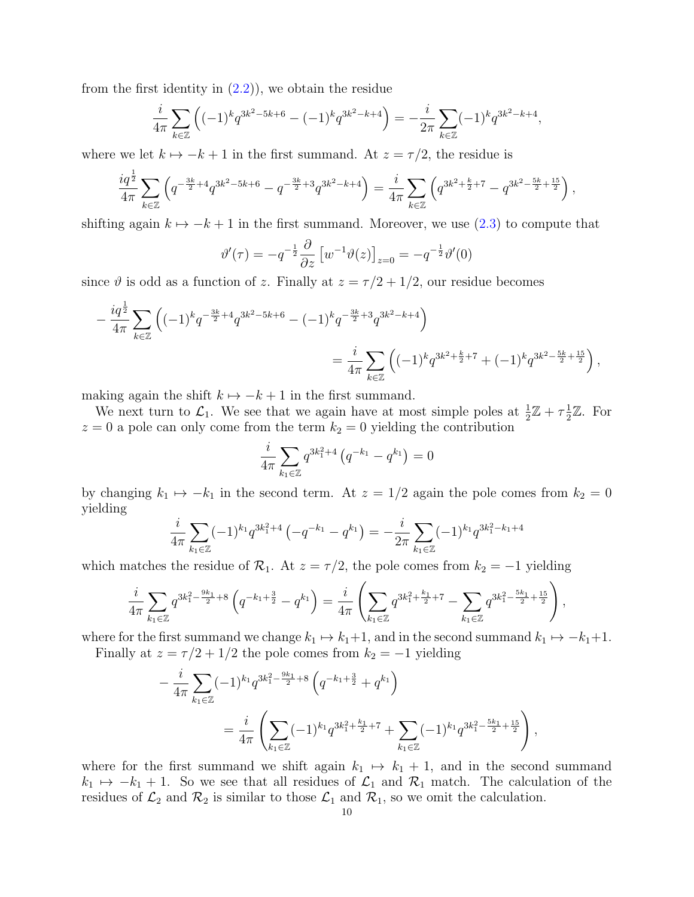from the first identity in  $(2.2)$ , we obtain the residue

$$
\frac{i}{4\pi} \sum_{k \in \mathbb{Z}} \left( (-1)^k q^{3k^2 - 5k + 6} - (-1)^k q^{3k^2 - k + 4} \right) = -\frac{i}{2\pi} \sum_{k \in \mathbb{Z}} (-1)^k q^{3k^2 - k + 4},
$$

where we let  $k \mapsto -k + 1$  in the first summand. At  $z = \tau/2$ , the residue is

$$
\frac{i q^{\frac{1}{2}}}{4\pi} \sum_{k \in \mathbb{Z}} \left( q^{-\frac{3k}{2}+4} q^{3k^2-5k+6} - q^{-\frac{3k}{2}+3} q^{3k^2-k+4} \right) = \frac{i}{4\pi} \sum_{k \in \mathbb{Z}} \left( q^{3k^2+\frac{k}{2}+7} - q^{3k^2-\frac{5k}{2}+\frac{15}{2}} \right),
$$

shifting again  $k \mapsto -k + 1$  in the first summand. Moreover, we use [\(2.3\)](#page-4-2) to compute that

$$
\vartheta'(\tau) = -q^{-\frac{1}{2}} \frac{\partial}{\partial z} \left[ w^{-1} \vartheta(z) \right]_{z=0} = -q^{-\frac{1}{2}} \vartheta'(0)
$$

since  $\vartheta$  is odd as a function of z. Finally at  $z = \tau/2 + 1/2$ , our residue becomes

$$
-\frac{i q^{\frac{1}{2}}}{4\pi} \sum_{k \in \mathbb{Z}} \left( (-1)^k q^{-\frac{3k}{2}+4} q^{3k^2-5k+6} - (-1)^k q^{-\frac{3k}{2}+3} q^{3k^2-k+4} \right)
$$
  

$$
=\frac{i}{4\pi} \sum_{k \in \mathbb{Z}} \left( (-1)^k q^{3k^2+\frac{k}{2}+7} + (-1)^k q^{3k^2-\frac{5k}{2}+\frac{15}{2}} \right),
$$

making again the shift  $k \mapsto -k + 1$  in the first summand.

We next turn to  $\mathcal{L}_1$ . We see that we again have at most simple poles at  $\frac{1}{2}\mathbb{Z} + \tau \frac{1}{2}$  $\frac{1}{2}\mathbb{Z}$ . For  $z = 0$  a pole can only come from the term  $k_2 = 0$  yielding the contribution

$$
\frac{i}{4\pi} \sum_{k_1 \in \mathbb{Z}} q^{3k_1^2 + 4} \left( q^{-k_1} - q^{k_1} \right) = 0
$$

by changing  $k_1 \mapsto -k_1$  in the second term. At  $z = 1/2$  again the pole comes from  $k_2 = 0$ yielding

$$
\frac{i}{4\pi} \sum_{k_1 \in \mathbb{Z}} (-1)^{k_1} q^{3k_1^2 + 4} \left( -q^{-k_1} - q^{k_1} \right) = -\frac{i}{2\pi} \sum_{k_1 \in \mathbb{Z}} (-1)^{k_1} q^{3k_1^2 - k_1 + 4}
$$

which matches the residue of  $\mathcal{R}_1$ . At  $z = \tau/2$ , the pole comes from  $k_2 = -1$  yielding

$$
\frac{i}{4\pi} \sum_{k_1 \in \mathbb{Z}} q^{3k_1^2 - \frac{9k_1}{2} + 8} \left( q^{-k_1 + \frac{3}{2}} - q^{k_1} \right) = \frac{i}{4\pi} \left( \sum_{k_1 \in \mathbb{Z}} q^{3k_1^2 + \frac{k_1}{2} + 7} - \sum_{k_1 \in \mathbb{Z}} q^{3k_1^2 - \frac{5k_1}{2} + \frac{15}{2}} \right),
$$

where for the first summand we change  $k_1 \mapsto k_1+1$ , and in the second summand  $k_1 \mapsto -k_1+1$ . Finally at  $z = \tau/2 + 1/2$  the pole comes from  $k_2 = -1$  yielding

$$
-\frac{i}{4\pi} \sum_{k_1 \in \mathbb{Z}} (-1)^{k_1} q^{3k_1^2 - \frac{9k_1}{2} + 8} \left( q^{-k_1 + \frac{3}{2}} + q^{k_1} \right)
$$
  
= 
$$
\frac{i}{4\pi} \left( \sum_{k_1 \in \mathbb{Z}} (-1)^{k_1} q^{3k_1^2 + \frac{k_1}{2} + 7} + \sum_{k_1 \in \mathbb{Z}} (-1)^{k_1} q^{3k_1^2 - \frac{5k_1}{2} + \frac{15}{2}} \right),
$$

where for the first summand we shift again  $k_1 \mapsto k_1 + 1$ , and in the second summand  $k_1 \mapsto -k_1 + 1$ . So we see that all residues of  $\mathcal{L}_1$  and  $\mathcal{R}_1$  match. The calculation of the residues of  $\mathcal{L}_2$  and  $\mathcal{R}_2$  is similar to those  $\mathcal{L}_1$  and  $\mathcal{R}_1$ , so we omit the calculation.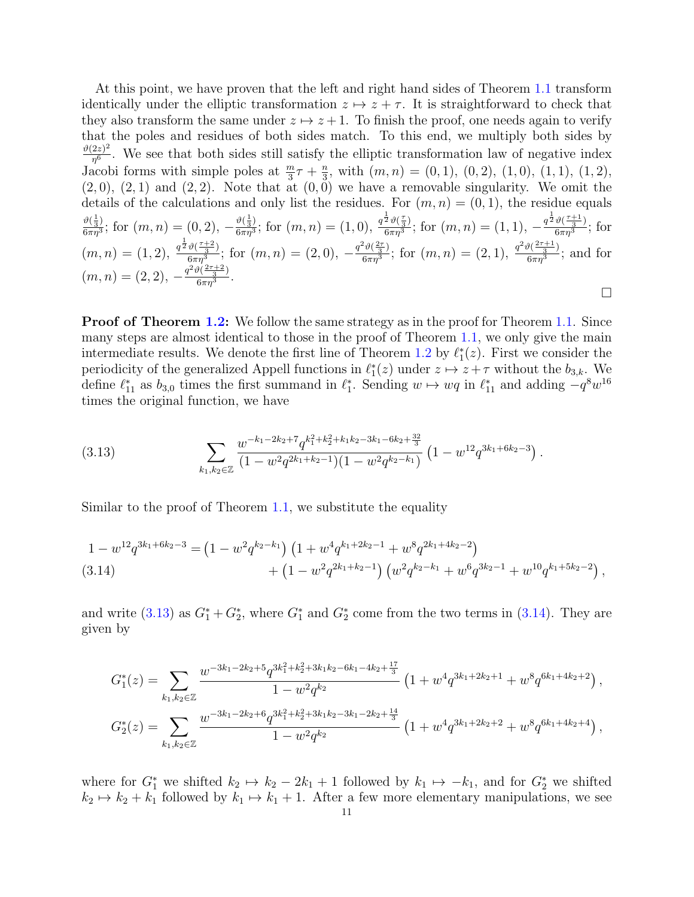At this point, we have proven that the left and right hand sides of Theorem [1.1](#page-3-0) transform identically under the elliptic transformation  $z \mapsto z + \tau$ . It is straightforward to check that they also transform the same under  $z \mapsto z + 1$ . To finish the proof, one needs again to verify that the poles and residues of both sides match. To this end, we multiply both sides by  $\vartheta(2z)^2$  $\frac{2z}{\eta^6}$ . We see that both sides still satisfy the elliptic transformation law of negative index Jacobi forms with simple poles at  $\frac{m}{3}\tau + \frac{n}{3}$  $\frac{n}{3}$ , with  $(m, n) = (0, 1), (0, 2), (1, 0), (1, 1), (1, 2),$  $(2,0), (2,1)$  and  $(2,2)$ . Note that at  $(0,0)$  we have a removable singularity. We omit the details of the calculations and only list the residues. For  $(m, n) = (0, 1)$ , the residue equals  $\frac{\vartheta(\frac{1}{3})}{\sqrt{2}}$  $\frac{\vartheta(\frac{1}{3})}{6\pi\eta^3}$ ; for  $(m, n) = (0, 2), -\frac{\vartheta(\frac{1}{3})}{6\pi\eta^3}$  $\frac{\vartheta(\frac{1}{3})}{6\pi\eta^3}$ ; for  $(m, n) = (1, 0), \frac{q^{\frac{1}{2}}\vartheta(\frac{\tau}{3})}{6\pi\eta^3}$  $\frac{\frac{1}{2}\vartheta(\frac{\tau}{3})}{6\pi\eta^3}; \, \text{for } (m,n)=(1,1), \, -\frac{q^{\frac{1}{2}}\vartheta(\frac{\tau+1}{3})}{6\pi\eta^3}$  $\frac{\nu(\frac{1}{3})}{6\pi\eta^3}$ ; for  $(m, n) = (1, 2), \frac{q^{\frac{1}{2}}\vartheta(\frac{\tau+2}{3})}{6\pi n^3}$  $\frac{\vartheta(\frac{\tau+2}{3})}{6\pi\eta^3}$ ; for  $(m,n)=(2,0), -\frac{q^2\vartheta(\frac{2\tau}{3})}{6\pi\eta^3}$  $\frac{f^2\vartheta(\frac{2\tau}{3})}{6\pi\eta^3}$ ; for  $(m,n)=(2,1),\,\frac{q^2\vartheta(\frac{2\tau+1}{3})}{6\pi\eta^3}$  $\frac{\sqrt{3}}{6\pi\eta^3}$ ; and for  $(m, n) = (2, 2), -\frac{q^2\vartheta(\frac{2\tau+2}{3})}{6\pi n^3}$  $\frac{\sqrt{3}}{6\pi\eta^3}$ .  $\Box$ 

**Proof of Theorem [1.2:](#page-3-1)** We follow the same strategy as in the proof for Theorem [1.1.](#page-3-0) Since many steps are almost identical to those in the proof of Theorem [1.1,](#page-3-0) we only give the main intermediate results. We denote the first line of Theorem [1.2](#page-3-1) by  $\ell_1^*(z)$ . First we consider the periodicity of the generalized Appell functions in  $\ell_1^*(z)$  under  $z \mapsto z + \tau$  without the  $b_{3,k}$ . We define  $\ell_{11}^*$  as  $b_{3,0}$  times the first summand in  $\ell_1^*$ . Sending  $w \mapsto wq$  in  $\ell_{11}^*$  and adding  $-q^8w^{16}$ times the original function, we have

<span id="page-10-0"></span>
$$
(3.13) \qquad \sum_{k_1,k_2 \in \mathbb{Z}} \frac{w^{-k_1 - 2k_2 + 7} q^{k_1^2 + k_2^2 + k_1 k_2 - 3k_1 - 6k_2 + \frac{32}{3}}}{(1 - w^2 q^{2k_1 + k_2 - 1})(1 - w^2 q^{k_2 - k_1})} \left(1 - w^{12} q^{3k_1 + 6k_2 - 3}\right).
$$

Similar to the proof of Theorem [1.1,](#page-3-0) we substitute the equality

<span id="page-10-1"></span>
$$
(3.14) \qquad \qquad 1 - w^{12} q^{3k_1 + 6k_2 - 3} = (1 - w^2 q^{k_2 - k_1}) \left(1 + w^4 q^{k_1 + 2k_2 - 1} + w^8 q^{2k_1 + 4k_2 - 2}\right) + \left(1 - w^2 q^{2k_1 + k_2 - 1}\right) \left(w^2 q^{k_2 - k_1} + w^6 q^{3k_2 - 1} + w^{10} q^{k_1 + 5k_2 - 2}\right),
$$

and write [\(3.13\)](#page-10-0) as  $G_1^* + G_2^*$ , where  $G_1^*$  and  $G_2^*$  come from the two terms in [\(3.14\)](#page-10-1). They are given by

$$
G_1^*(z) = \sum_{k_1, k_2 \in \mathbb{Z}} \frac{w^{-3k_1 - 2k_2 + 5} q^{3k_1^2 + k_2^2 + 3k_1k_2 - 6k_1 - 4k_2 + \frac{17}{3}}}{1 - w^2 q^{k_2}} \left(1 + w^4 q^{3k_1 + 2k_2 + 1} + w^8 q^{6k_1 + 4k_2 + 2}\right),
$$
  

$$
G_2^*(z) = \sum_{k_1, k_2 \in \mathbb{Z}} \frac{w^{-3k_1 - 2k_2 + 6} q^{3k_1^2 + k_2^2 + 3k_1k_2 - 3k_1 - 2k_2 + \frac{14}{3}}}{1 - w^2 q^{k_2}} \left(1 + w^4 q^{3k_1 + 2k_2 + 2} + w^8 q^{6k_1 + 4k_2 + 4}\right),
$$

where for  $G_1^*$  we shifted  $k_2 \mapsto k_2 - 2k_1 + 1$  followed by  $k_1 \mapsto -k_1$ , and for  $G_2^*$  we shifted  $k_2 \mapsto k_2 + k_1$  followed by  $k_1 \mapsto k_1 + 1$ . After a few more elementary manipulations, we see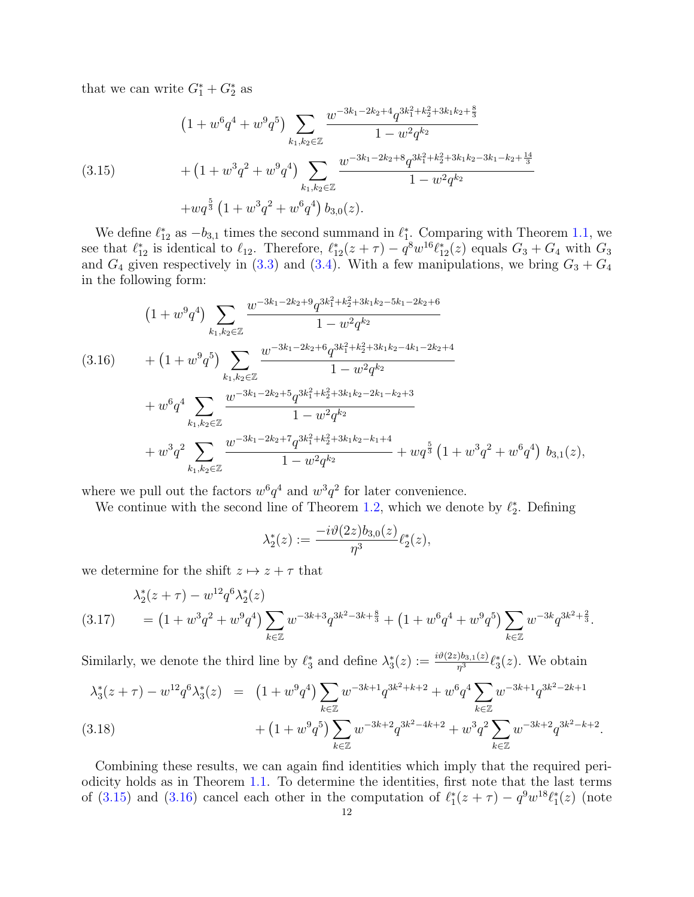that we can write  $G_1^* + G_2^*$  as

<span id="page-11-0"></span>
$$
(1 + w^{6}q^{4} + w^{9}q^{5}) \sum_{k_{1},k_{2} \in \mathbb{Z}} \frac{w^{-3k_{1} - 2k_{2} + 4}q^{3k_{1}^{2} + k_{2}^{2} + 3k_{1}k_{2} + \frac{8}{3}}}{1 - w^{2}q^{k_{2}}}
$$
  
\n
$$
(3.15) + (1 + w^{3}q^{2} + w^{9}q^{4}) \sum_{k_{1},k_{2} \in \mathbb{Z}} \frac{w^{-3k_{1} - 2k_{2} + 8}q^{3k_{1}^{2} + k_{2}^{2} + 3k_{1}k_{2} - 3k_{1} - k_{2} + \frac{14}{3}}}{1 - w^{2}q^{k_{2}}}
$$
  
\n
$$
+ wq^{\frac{5}{3}}(1 + w^{3}q^{2} + w^{6}q^{4}) b_{3,0}(z).
$$

We define  $\ell_{12}^*$  as  $-b_{3,1}$  times the second summand in  $\ell_1^*$ . Comparing with Theorem [1.1,](#page-3-0) we see that  $\ell_{12}^*$  is identical to  $\ell_{12}$ . Therefore,  $\ell_{12}^*(z + \tau) - q^8 w^{16} \ell_{12}^*(z)$  equals  $G_3 + G_4$  with  $G_3$ and  $G_4$  given respectively in [\(3.3\)](#page-6-1) and [\(3.4\)](#page-6-2). With a few manipulations, we bring  $G_3 + G_4$ in the following form:

<span id="page-11-1"></span>
$$
(1+w^9q^4)\sum_{k_1,k_2\in\mathbb{Z}}\frac{w^{-3k_1-2k_2+9}q^{3k_1^2+k_2^2+3k_1k_2-5k_1-2k_2+6}}{1-w^2q^{k_2}}
$$
  
\n
$$
(3.16) + (1+w^9q^5)\sum_{k_1,k_2\in\mathbb{Z}}\frac{w^{-3k_1-2k_2+6}q^{3k_1^2+k_2^2+3k_1k_2-4k_1-2k_2+4}}{1-w^2q^{k_2}}
$$
  
\n
$$
+w^6q^4\sum_{k_1,k_2\in\mathbb{Z}}\frac{w^{-3k_1-2k_2+5}q^{3k_1^2+k_2^2+3k_1k_2-2k_1-k_2+3}}{1-w^2q^{k_2}}
$$
  
\n
$$
+w^3q^2\sum_{k_1,k_2\in\mathbb{Z}}\frac{w^{-3k_1-2k_2+7}q^{3k_1^2+k_2^2+3k_1k_2-k_1+4}}{1-w^2q^{k_2}}+wq^{\frac{5}{3}}(1+w^3q^2+w^6q^4) b_{3,1}(z),
$$

where we pull out the factors  $w^6 q^4$  and  $w^3 q^2$  for later convenience.

We continue with the second line of Theorem [1.2,](#page-3-1) which we denote by  $\ell_2^*$ . Defining

$$
\lambda_2^*(z):=\frac{-i\vartheta(2z)b_{3,0}(z)}{\eta^3}\ell_2^*(z),
$$

we determine for the shift  $z \mapsto z + \tau$  that

<span id="page-11-2"></span>
$$
\lambda_2^*(z+\tau) - w^{12} q^6 \lambda_2^*(z)
$$
\n
$$
(3.17) \qquad = \left(1 + w^3 q^2 + w^9 q^4\right) \sum_{k \in \mathbb{Z}} w^{-3k+3} q^{3k^2 - 3k + \frac{8}{3}} + \left(1 + w^6 q^4 + w^9 q^5\right) \sum_{k \in \mathbb{Z}} w^{-3k} q^{3k^2 + \frac{2}{3}}.
$$

Similarly, we denote the third line by  $\ell_3^*$  and define  $\lambda_3^*(z) := \frac{i \vartheta(2z) b_{3,1}(z)}{\eta^3} \ell_3^*(z)$ . We obtain

<span id="page-11-3"></span>
$$
\lambda_3^*(z+\tau) - w^{12} q^6 \lambda_3^*(z) = (1+w^9 q^4) \sum_{k \in \mathbb{Z}} w^{-3k+1} q^{3k^2+k+2} + w^6 q^4 \sum_{k \in \mathbb{Z}} w^{-3k+1} q^{3k^2-2k+1} + (1+w^9 q^5) \sum_{k \in \mathbb{Z}} w^{-3k+2} q^{3k^2-4k+2} + w^3 q^2 \sum_{k \in \mathbb{Z}} w^{-3k+2} q^{3k^2-k+2}.
$$
\n(3.18)

Combining these results, we can again find identities which imply that the required periodicity holds as in Theorem [1.1.](#page-3-0) To determine the identities, first note that the last terms of [\(3.15\)](#page-11-0) and [\(3.16\)](#page-11-1) cancel each other in the computation of  $\ell_1^*(z + \tau) - q^9 w^{18} \ell_1^*(z)$  (note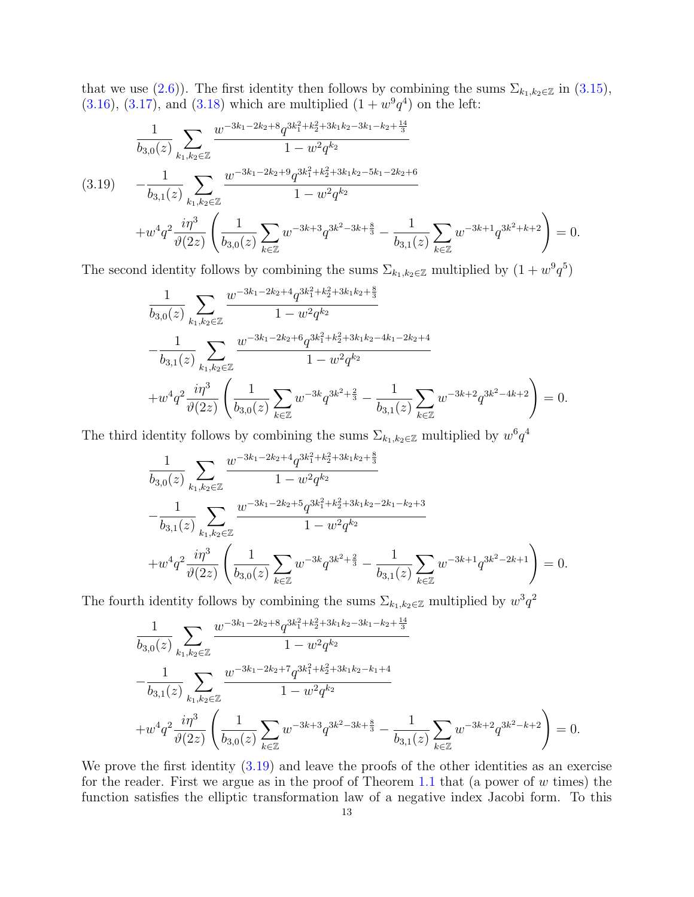that we use [\(2.6\)](#page-4-4)). The first identity then follows by combining the sums  $\Sigma_{k_1,k_2\in\mathbb{Z}}$  in [\(3.15\)](#page-11-0),  $(3.16), (3.17),$  $(3.16), (3.17),$  $(3.16), (3.17),$  $(3.16), (3.17),$  and  $(3.18)$  which are multiplied  $(1 + w<sup>9</sup>q<sup>4</sup>)$  on the left:

<span id="page-12-0"></span>
$$
\frac{1}{b_{3,0}(z)} \sum_{k_1,k_2 \in \mathbb{Z}} \frac{w^{-3k_1 - 2k_2 + 8} q^{3k_1^2 + k_2^2 + 3k_1k_2 - 3k_1 - k_2 + \frac{14}{3}}}{1 - w^2 q^{k_2}}
$$
\n
$$
(3.19) \qquad -\frac{1}{b_{3,1}(z)} \sum_{k_1,k_2 \in \mathbb{Z}} \frac{w^{-3k_1 - 2k_2 + 9} q^{3k_1^2 + k_2^2 + 3k_1k_2 - 5k_1 - 2k_2 + 6}}{1 - w^2 q^{k_2}}
$$
\n
$$
+ w^4 q^2 \frac{i\eta^3}{\vartheta(2z)} \left(\frac{1}{b_{3,0}(z)} \sum_{k \in \mathbb{Z}} w^{-3k+3} q^{3k^2 - 3k + \frac{8}{3}} - \frac{1}{b_{3,1}(z)} \sum_{k \in \mathbb{Z}} w^{-3k+1} q^{3k^2 + k + 2}\right) = 0.
$$

The second identity follows by combining the sums  $\Sigma_{k_1,k_2\in\mathbb{Z}}$  multiplied by  $(1+w^9q^5)$ 

$$
\frac{1}{b_{3,0}(z)}\sum_{k_1,k_2\in\mathbb{Z}}\frac{w^{-3k_1-2k_2+4}q^{3k_1^2+k_2^2+3k_1k_2+\frac{8}{3}}}{1-w^2q^{k_2}}\n-\frac{1}{b_{3,1}(z)}\sum_{k_1,k_2\in\mathbb{Z}}\frac{w^{-3k_1-2k_2+6}q^{3k_1^2+k_2^2+3k_1k_2-4k_1-2k_2+4}}{1-w^2q^{k_2}}\n+w^4q^2\frac{i\eta^3}{\vartheta(2z)}\left(\frac{1}{b_{3,0}(z)}\sum_{k\in\mathbb{Z}}w^{-3k}q^{3k^2+\frac{2}{3}}-\frac{1}{b_{3,1}(z)}\sum_{k\in\mathbb{Z}}w^{-3k+2}q^{3k^2-4k+2}\right)=0.
$$

The third identity follows by combining the sums  $\Sigma_{k_1,k_2\in\mathbb{Z}}$  multiplied by  $w^6q^4$ 

$$
\frac{1}{b_{3,0}(z)}\sum_{k_1,k_2\in\mathbb{Z}}\frac{w^{-3k_1-2k_2+4}q^{3k_1^2+k_2^2+3k_1k_2+\frac{8}{3}}}{1-w^2q^{k_2}}\n-\frac{1}{b_{3,1}(z)}\sum_{k_1,k_2\in\mathbb{Z}}\frac{w^{-3k_1-2k_2+5}q^{3k_1^2+k_2^2+3k_1k_2-2k_1-k_2+3}}{1-w^2q^{k_2}}\n+w^4q^2\frac{i\eta^3}{\vartheta(2z)}\left(\frac{1}{b_{3,0}(z)}\sum_{k\in\mathbb{Z}}w^{-3k}q^{3k^2+\frac{2}{3}}-\frac{1}{b_{3,1}(z)}\sum_{k\in\mathbb{Z}}w^{-3k+1}q^{3k^2-2k+1}\right)=0.
$$

The fourth identity follows by combining the sums  $\Sigma_{k_1,k_2\in\mathbb{Z}}$  multiplied by  $w^3q^2$ 

$$
\frac{1}{b_{3,0}(z)}\sum_{k_1,k_2\in\mathbb{Z}}\frac{w^{-3k_1-2k_2+8}q^{3k_1^2+k_2^2+3k_1k_2-3k_1-k_2+\frac{14}{3}}}{1-w^2q^{k_2}}\n-\frac{1}{b_{3,1}(z)}\sum_{k_1,k_2\in\mathbb{Z}}\frac{w^{-3k_1-2k_2+7}q^{3k_1^2+k_2^2+3k_1k_2-k_1+4}}{1-w^2q^{k_2}}\n+w^4q^2\frac{i\eta^3}{\vartheta(2z)}\left(\frac{1}{b_{3,0}(z)}\sum_{k\in\mathbb{Z}}w^{-3k+3}q^{3k^2-3k+\frac{8}{3}}-\frac{1}{b_{3,1}(z)}\sum_{k\in\mathbb{Z}}w^{-3k+2}q^{3k^2-k+2}\right)=0.
$$

We prove the first identity  $(3.19)$  and leave the proofs of the other identities as an exercise for the reader. First we argue as in the proof of Theorem [1.1](#page-3-0) that (a power of  $w$  times) the function satisfies the elliptic transformation law of a negative index Jacobi form. To this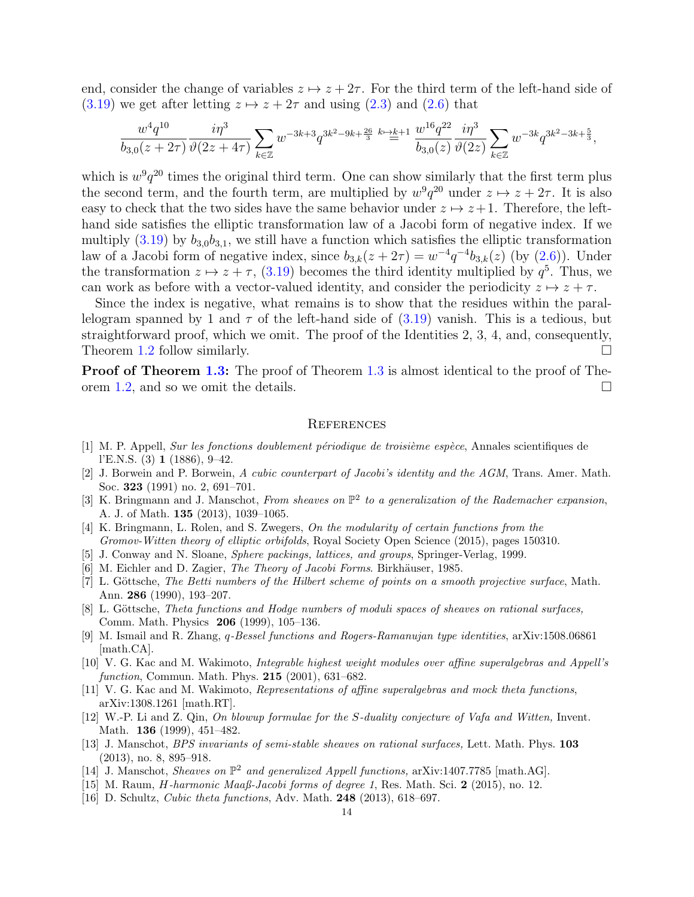end, consider the change of variables  $z \mapsto z + 2\tau$ . For the third term of the left-hand side of [\(3.19\)](#page-12-0) we get after letting  $z \mapsto z + 2\tau$  and using [\(2.3\)](#page-4-2) and [\(2.6\)](#page-4-4) that

$$
\frac{w^4 q^{10}}{b_{3,0}(z+2\tau)}\frac{i\eta^3}{\vartheta(2z+4\tau)}\sum_{k\in\mathbb{Z}} w^{-3k+3}q^{3k^2-9k+\frac{26}{3}}\stackrel{k\mapsto k+1}{=}\frac{w^{16}q^{22}}{b_{3,0}(z)}\frac{i\eta^3}{\vartheta(2z)}\sum_{k\in\mathbb{Z}} w^{-3k}q^{3k^2-3k+\frac{5}{3}},
$$

which is  $w^9q^{20}$  times the original third term. One can show similarly that the first term plus the second term, and the fourth term, are multiplied by  $w^9q^{20}$  under  $z \mapsto z + 2\tau$ . It is also easy to check that the two sides have the same behavior under  $z \mapsto z+1$ . Therefore, the lefthand side satisfies the elliptic transformation law of a Jacobi form of negative index. If we multiply  $(3.19)$  by  $b_{3,0}b_{3,1}$ , we still have a function which satisfies the elliptic transformation law of a Jacobi form of negative index, since  $b_{3,k}(z+2\tau) = w^{-4}q^{-4}b_{3,k}(z)$  (by  $(2.6)$ ). Under the transformation  $z \mapsto z + \tau$ , [\(3.19\)](#page-12-0) becomes the third identity multiplied by  $q^5$ . Thus, we can work as before with a vector-valued identity, and consider the periodicity  $z \mapsto z + \tau$ .

Since the index is negative, what remains is to show that the residues within the parallelogram spanned by 1 and  $\tau$  of the left-hand side of  $(3.19)$  vanish. This is a tedious, but straightforward proof, which we omit. The proof of the Identities 2, 3, 4, and, consequently, Theorem [1.2](#page-3-1) follow similarly.  $\square$ 

**Proof of Theorem [1.3:](#page-3-2)** The proof of Theorem [1.3](#page-3-2) is almost identical to the proof of The-orem [1.2,](#page-3-1) and so we omit the details.  $\square$ 

# **REFERENCES**

- <span id="page-13-0"></span>[1] M. P. Appell, Sur les fonctions doublement périodique de troisième espèce, Annales scientifiques de l'E.N.S. (3) 1 (1886), 9–42.
- <span id="page-13-11"></span>[2] J. Borwein and P. Borwein, A cubic counterpart of Jacobi's identity and the AGM, Trans. Amer. Math. Soc. 323 (1991) no. 2, 691–701.
- <span id="page-13-2"></span>[3] K. Bringmann and J. Manschot, From sheaves on  $\mathbb{P}^2$  to a generalization of the Rademacher expansion, A. J. of Math. 135 (2013), 1039–1065.
- <span id="page-13-4"></span>[4] K. Bringmann, L. Rolen, and S. Zwegers, On the modularity of certain functions from the Gromov-Witten theory of elliptic orbifolds, Royal Society Open Science (2015), pages 150310.
- <span id="page-13-7"></span>[5] J. Conway and N. Sloane, Sphere packings, lattices, and groups, Springer-Verlag, 1999.
- <span id="page-13-13"></span>[6] M. Eichler and D. Zagier, *The Theory of Jacobi Forms*. Birkhäuser, 1985.
- [7] L. Göttsche, The Betti numbers of the Hilbert scheme of points on a smooth projective surface, Math. Ann. 286 (1990), 193–207.
- <span id="page-13-8"></span>[8] L. Göttsche, Theta functions and Hodge numbers of moduli spaces of sheaves on rational surfaces, Comm. Math. Physics 206 (1999), 105–136.
- <span id="page-13-6"></span>[9] M. Ismail and R. Zhang, q-Bessel functions and Rogers-Ramanujan type identities, arXiv:1508.06861 [math.CA].
- [10] V. G. Kac and M. Wakimoto, Integrable highest weight modules over affine superalgebras and Appell's function, Commun. Math. Phys.  $215$  (2001), 631–682.
- <span id="page-13-1"></span>[11] V. G. Kac and M. Wakimoto, Representations of affine superalgebras and mock theta functions, arXiv:1308.1261 [math.RT].
- <span id="page-13-9"></span>[12] W.-P. Li and Z. Qin, On blowup formulae for the S-duality conjecture of Vafa and Witten, Invent. Math. 136 (1999), 451-482.
- <span id="page-13-10"></span>[13] J. Manschot, BPS invariants of semi-stable sheaves on rational surfaces, Lett. Math. Phys. 103 (2013), no. 8, 895–918.
- <span id="page-13-3"></span>[14] J. Manschot, Sheaves on  $\mathbb{P}^2$  and generalized Appell functions, arXiv:1407.7785 [math.AG].
- <span id="page-13-5"></span>[15] M. Raum, H-harmonic Maaß-Jacobi forms of degree 1, Res. Math. Sci. 2 (2015), no. 12.
- <span id="page-13-12"></span>[16] D. Schultz, *Cubic theta functions*, Adv. Math. **248** (2013), 618–697.